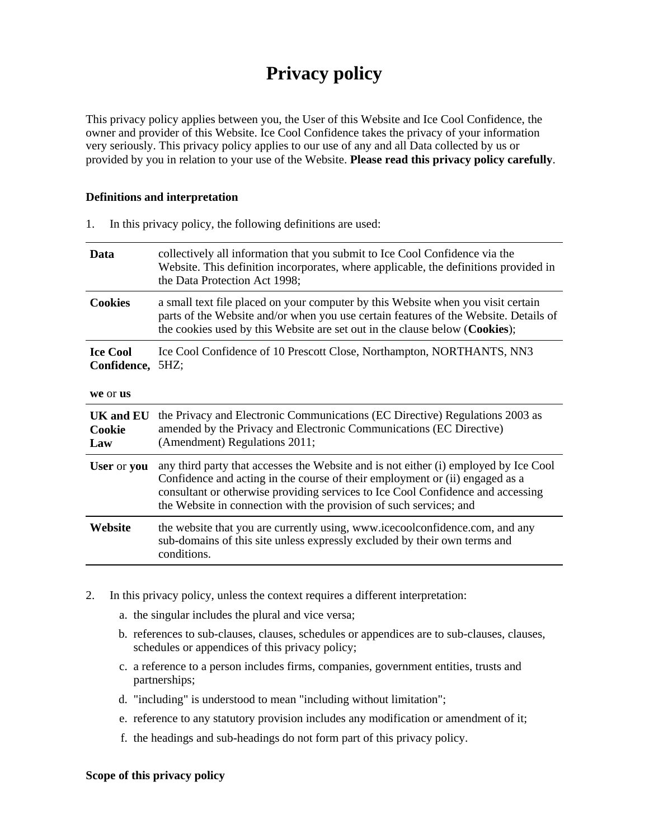# **Privacy policy**

This privacy policy applies between you, the User of this Website and Ice Cool Confidence, the owner and provider of this Website. Ice Cool Confidence takes the privacy of your information very seriously. This privacy policy applies to our use of any and all Data collected by us or provided by you in relation to your use of the Website. **Please read this privacy policy carefully**.

#### **Definitions and interpretation**

| Data                                     | collectively all information that you submit to Ice Cool Confidence via the<br>Website. This definition incorporates, where applicable, the definitions provided in<br>the Data Protection Act 1998;                                                                                                                          |  |
|------------------------------------------|-------------------------------------------------------------------------------------------------------------------------------------------------------------------------------------------------------------------------------------------------------------------------------------------------------------------------------|--|
| <b>Cookies</b>                           | a small text file placed on your computer by this Website when you visit certain<br>parts of the Website and/or when you use certain features of the Website. Details of<br>the cookies used by this Website are set out in the clause below (Cookies);                                                                       |  |
| <b>Ice Cool</b><br>Confidence,           | Ice Cool Confidence of 10 Prescott Close, Northampton, NORTHANTS, NN3<br>5HZ;                                                                                                                                                                                                                                                 |  |
| we or us                                 |                                                                                                                                                                                                                                                                                                                               |  |
| <b>UK</b> and <b>EU</b><br>Cookie<br>Law | the Privacy and Electronic Communications (EC Directive) Regulations 2003 as<br>amended by the Privacy and Electronic Communications (EC Directive)<br>(Amendment) Regulations 2011;                                                                                                                                          |  |
| User or you                              | any third party that accesses the Website and is not either (i) employed by Ice Cool<br>Confidence and acting in the course of their employment or (ii) engaged as a<br>consultant or otherwise providing services to Ice Cool Confidence and accessing<br>the Website in connection with the provision of such services; and |  |
| Website                                  | the website that you are currently using, www.icecoolconfidence.com, and any<br>sub-domains of this site unless expressly excluded by their own terms and<br>conditions.                                                                                                                                                      |  |
|                                          |                                                                                                                                                                                                                                                                                                                               |  |

1. In this privacy policy, the following definitions are used:

- 2. In this privacy policy, unless the context requires a different interpretation:
	- a. the singular includes the plural and vice versa;
	- b. references to sub-clauses, clauses, schedules or appendices are to sub-clauses, clauses, schedules or appendices of this privacy policy;
	- c. a reference to a person includes firms, companies, government entities, trusts and partnerships;
	- d. "including" is understood to mean "including without limitation";
	- e. reference to any statutory provision includes any modification or amendment of it;
	- f. the headings and sub-headings do not form part of this privacy policy.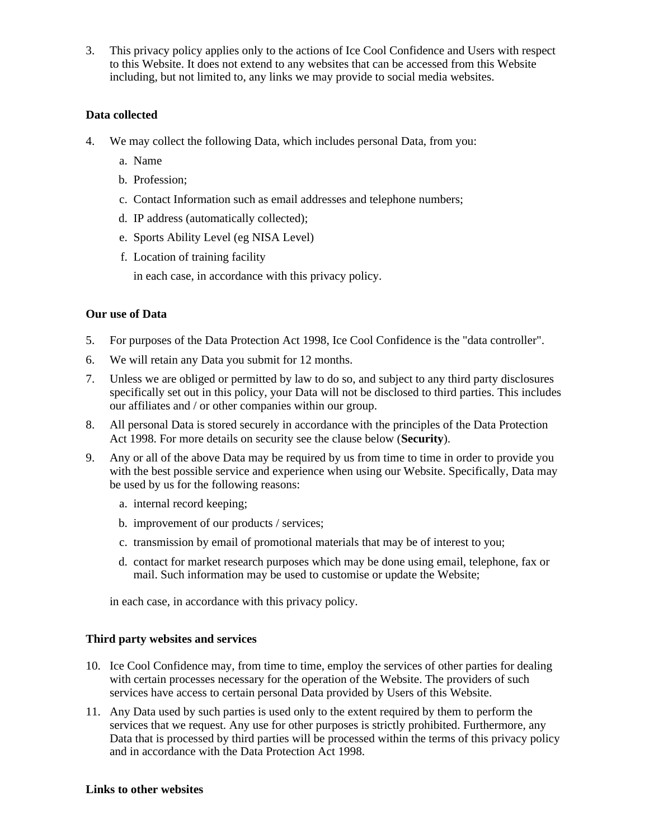3. This privacy policy applies only to the actions of Ice Cool Confidence and Users with respect to this Website. It does not extend to any websites that can be accessed from this Website including, but not limited to, any links we may provide to social media websites.

## **Data collected**

- 4. We may collect the following Data, which includes personal Data, from you:
	- a. Name
	- b. Profession;
	- c. Contact Information such as email addresses and telephone numbers;
	- d. IP address (automatically collected);
	- e. Sports Ability Level (eg NISA Level)
	- f. Location of training facility

in each case, in accordance with this privacy policy.

## **Our use of Data**

- 5. For purposes of the Data Protection Act 1998, Ice Cool Confidence is the "data controller".
- 6. We will retain any Data you submit for 12 months.
- 7. Unless we are obliged or permitted by law to do so, and subject to any third party disclosures specifically set out in this policy, your Data will not be disclosed to third parties. This includes our affiliates and / or other companies within our group.
- 8. All personal Data is stored securely in accordance with the principles of the Data Protection Act 1998. For more details on security see the clause below (**Security**).
- 9. Any or all of the above Data may be required by us from time to time in order to provide you with the best possible service and experience when using our Website. Specifically, Data may be used by us for the following reasons:
	- a. internal record keeping;
	- b. improvement of our products / services;
	- c. transmission by email of promotional materials that may be of interest to you;
	- d. contact for market research purposes which may be done using email, telephone, fax or mail. Such information may be used to customise or update the Website;

in each case, in accordance with this privacy policy.

#### **Third party websites and services**

- 10. Ice Cool Confidence may, from time to time, employ the services of other parties for dealing with certain processes necessary for the operation of the Website. The providers of such services have access to certain personal Data provided by Users of this Website.
- 11. Any Data used by such parties is used only to the extent required by them to perform the services that we request. Any use for other purposes is strictly prohibited. Furthermore, any Data that is processed by third parties will be processed within the terms of this privacy policy and in accordance with the Data Protection Act 1998.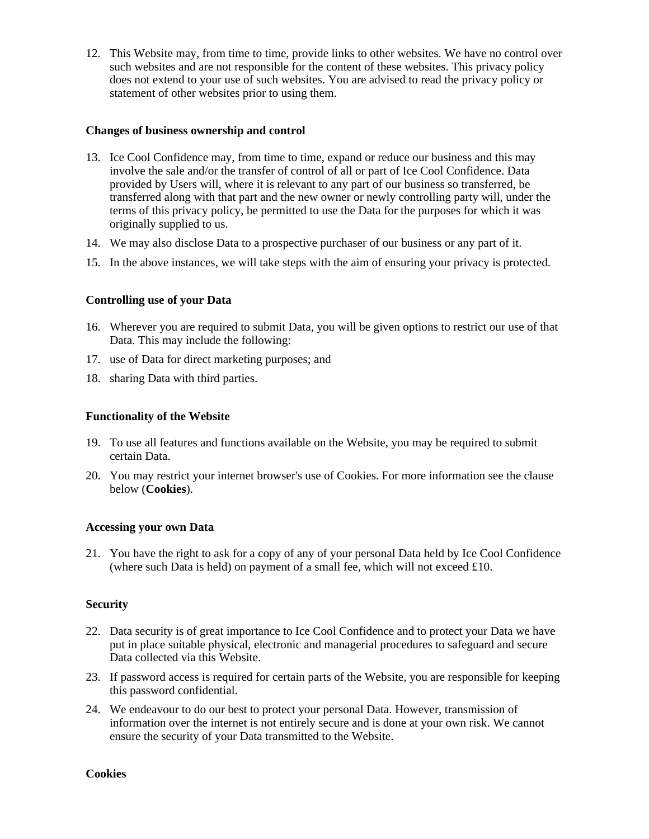12. This Website may, from time to time, provide links to other websites. We have no control over such websites and are not responsible for the content of these websites. This privacy policy does not extend to your use of such websites. You are advised to read the privacy policy or statement of other websites prior to using them.

### **Changes of business ownership and control**

- 13. Ice Cool Confidence may, from time to time, expand or reduce our business and this may involve the sale and/or the transfer of control of all or part of Ice Cool Confidence. Data provided by Users will, where it is relevant to any part of our business so transferred, be transferred along with that part and the new owner or newly controlling party will, under the terms of this privacy policy, be permitted to use the Data for the purposes for which it was originally supplied to us.
- 14. We may also disclose Data to a prospective purchaser of our business or any part of it.
- 15. In the above instances, we will take steps with the aim of ensuring your privacy is protected.

# **Controlling use of your Data**

- 16. Wherever you are required to submit Data, you will be given options to restrict our use of that Data. This may include the following:
- 17. use of Data for direct marketing purposes; and
- 18. sharing Data with third parties.

## **Functionality of the Website**

- 19. To use all features and functions available on the Website, you may be required to submit certain Data.
- 20. You may restrict your internet browser's use of Cookies. For more information see the clause below (**Cookies**).

#### **Accessing your own Data**

21. You have the right to ask for a copy of any of your personal Data held by Ice Cool Confidence (where such Data is held) on payment of a small fee, which will not exceed  $\pounds 10$ .

#### **Security**

- 22. Data security is of great importance to Ice Cool Confidence and to protect your Data we have put in place suitable physical, electronic and managerial procedures to safeguard and secure Data collected via this Website.
- 23. If password access is required for certain parts of the Website, you are responsible for keeping this password confidential.
- 24. We endeavour to do our best to protect your personal Data. However, transmission of information over the internet is not entirely secure and is done at your own risk. We cannot ensure the security of your Data transmitted to the Website.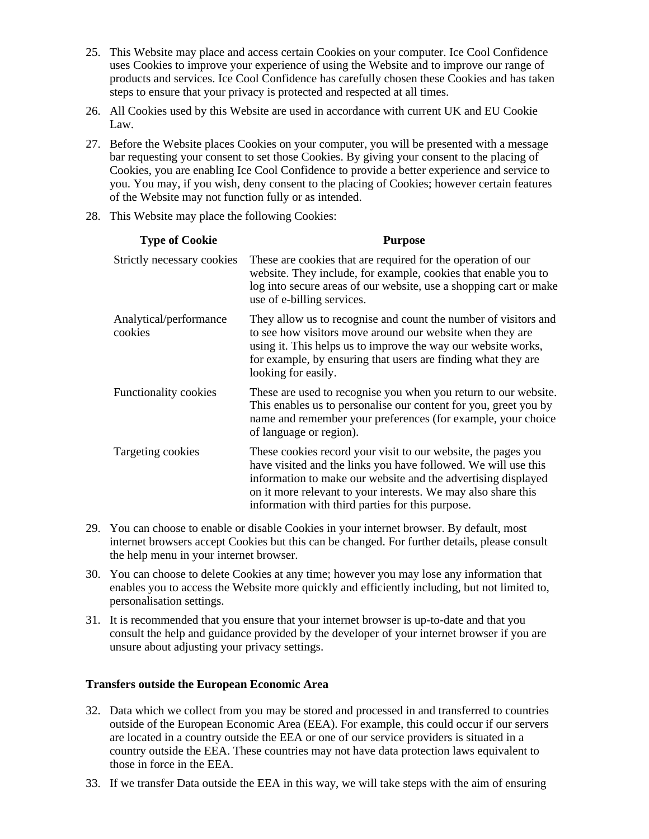25. This Website may place and access certain Cookies on your computer. Ice Cool Confidence uses Cookies to improve your experience of using the Website and to improve our range of products and services. Ice Cool Confidence has carefully chosen these Cookies and has taken steps to ensure that your privacy is protected and respected at all times.

- 26. All Cookies used by this Website are used in accordance with current UK and EU Cookie Law.
- 27. Before the Website places Cookies on your computer, you will be presented with a message bar requesting your consent to set those Cookies. By giving your consent to the placing of Cookies, you are enabling Ice Cool Confidence to provide a better experience and service to you. You may, if you wish, deny consent to the placing of Cookies; however certain features of the Website may not function fully or as intended.
- 28. This Website may place the following Cookies:

| <b>Type of Cookie</b>             | <b>Purpose</b>                                                                                                                                                                                                                                                                                                        |
|-----------------------------------|-----------------------------------------------------------------------------------------------------------------------------------------------------------------------------------------------------------------------------------------------------------------------------------------------------------------------|
| Strictly necessary cookies        | These are cookies that are required for the operation of our<br>website. They include, for example, cookies that enable you to<br>log into secure areas of our website, use a shopping cart or make<br>use of e-billing services.                                                                                     |
| Analytical/performance<br>cookies | They allow us to recognise and count the number of visitors and<br>to see how visitors move around our website when they are<br>using it. This helps us to improve the way our website works,<br>for example, by ensuring that users are finding what they are<br>looking for easily.                                 |
| Functionality cookies             | These are used to recognise you when you return to our website.<br>This enables us to personalise our content for you, greet you by<br>name and remember your preferences (for example, your choice<br>of language or region).                                                                                        |
| Targeting cookies                 | These cookies record your visit to our website, the pages you<br>have visited and the links you have followed. We will use this<br>information to make our website and the advertising displayed<br>on it more relevant to your interests. We may also share this<br>information with third parties for this purpose. |

- 29. You can choose to enable or disable Cookies in your internet browser. By default, most internet browsers accept Cookies but this can be changed. For further details, please consult the help menu in your internet browser.
- 30. You can choose to delete Cookies at any time; however you may lose any information that enables you to access the Website more quickly and efficiently including, but not limited to, personalisation settings.
- 31. It is recommended that you ensure that your internet browser is up-to-date and that you consult the help and guidance provided by the developer of your internet browser if you are unsure about adjusting your privacy settings.

#### **Transfers outside the European Economic Area**

- 32. Data which we collect from you may be stored and processed in and transferred to countries outside of the European Economic Area (EEA). For example, this could occur if our servers are located in a country outside the EEA or one of our service providers is situated in a country outside the EEA. These countries may not have data protection laws equivalent to those in force in the EEA.
- 33. If we transfer Data outside the EEA in this way, we will take steps with the aim of ensuring